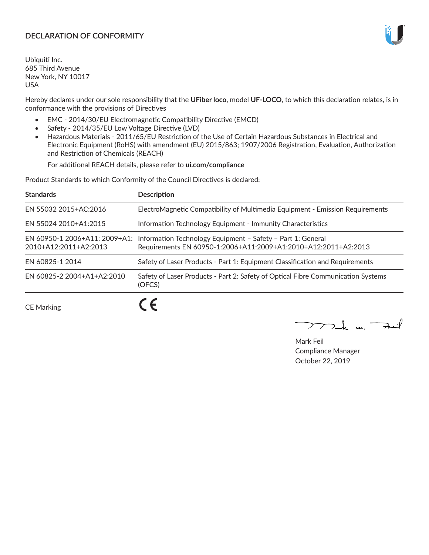# **DECLARATION OF CONFORMITY**

Ubiquiti Inc. 685 Third Avenue New York, NY 10017 USA

Hereby declares under our sole responsibility that the **UFiber loco**, model **UF-LOCO**, to which this declaration relates, is in conformance with the provisions of Directives

- EMC 2014/30/EU Electromagnetic Compatibility Directive (EMCD)
- Safety 2014/35/EU Low Voltage Directive (LVD)
- Hazardous Materials 2011/65/EU Restriction of the Use of Certain Hazardous Substances in Electrical and Electronic Equipment (RoHS) with amendment (EU) 2015/863; 1907/2006 Registration, Evaluation, Authorization and Restriction of Chemicals (REACH)

For additional REACH details, please refer to **ui.com/compliance**

Product Standards to which Conformity of the Council Directives is declared:

| <b>Standards</b>                                       | <b>Description</b>                                                                                                            |
|--------------------------------------------------------|-------------------------------------------------------------------------------------------------------------------------------|
| EN 55032 2015+AC:2016                                  | ElectroMagnetic Compatibility of Multimedia Equipment - Emission Requirements                                                 |
| EN 55024 2010+A1:2015                                  | Information Technology Equipment - Immunity Characteristics                                                                   |
| EN 60950-1 2006+A11: 2009+A1:<br>2010+A12:2011+A2:2013 | Information Technology Equipment - Safety - Part 1: General<br>Requirements EN 60950-1:2006+A11:2009+A1:2010+A12:2011+A2:2013 |
| EN 60825-1 2014                                        | Safety of Laser Products - Part 1: Equipment Classification and Requirements                                                  |
| EN 60825-2 2004+A1+A2:2010                             | Safety of Laser Products - Part 2: Safety of Optical Fibre Communication Systems<br>(OFCS)                                    |
|                                                        | $\epsilon$                                                                                                                    |

CE Marking

**CE** 

 $\rightarrow$  and  $\rightarrow$ 

Mark Feil Compliance Manager October 22, 2019

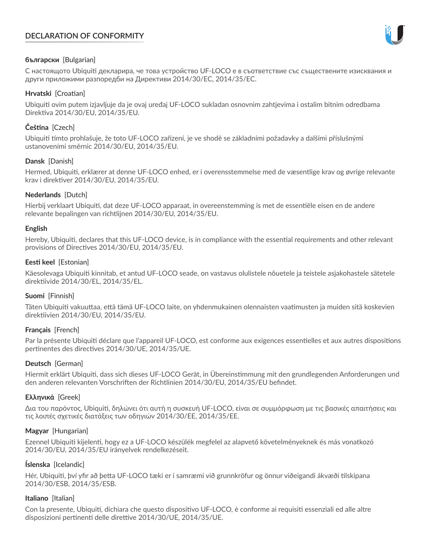# **DECLARATION OF CONFORMITY**



### **български** [Bulgarian]

С настоящото Ubiquiti декларира, че това устройство UF-LOCO е в съответствие със съществените изисквания и други приложими разпоредби на Директиви 2014/30/ЕС, 2014/35/ЕС.

### **Hrvatski** [Croatian]

Ubiquiti ovim putem izjavljuje da je ovaj uređaj UF-LOCO sukladan osnovnim zahtjevima i ostalim bitnim odredbama Direktiva 2014/30/EU, 2014/35/EU.

# **Čeština** [Czech]

Ubiquiti tímto prohlašuje, že toto UF-LOCO zařízení, je ve shodě se základními požadavky a dalšími příslušnými ustanoveními směrnic 2014/30/EU, 2014/35/EU.

## **Dansk** [Danish]

Hermed, Ubiquiti, erklærer at denne UF-LOCO enhed, er i overensstemmelse med de væsentlige krav og øvrige relevante krav i direktiver 2014/30/EU, 2014/35/EU.

## **Nederlands** [Dutch]

Hierbij verklaart Ubiquiti, dat deze UF-LOCO apparaat, in overeenstemming is met de essentiële eisen en de andere relevante bepalingen van richtlijnen 2014/30/EU, 2014/35/EU.

### **English**

Hereby, Ubiquiti, declares that this UF-LOCO device, is in compliance with the essential requirements and other relevant provisions of Directives 2014/30/EU, 2014/35/EU.

## **Eesti keel** [Estonian]

Käesolevaga Ubiquiti kinnitab, et antud UF-LOCO seade, on vastavus olulistele nõuetele ja teistele asjakohastele sätetele direktiivide 2014/30/EL, 2014/35/EL.

### **Suomi** [Finnish]

Täten Ubiquiti vakuuttaa, että tämä UF-LOCO laite, on yhdenmukainen olennaisten vaatimusten ja muiden sitä koskevien direktiivien 2014/30/EU, 2014/35/EU.

### **Français** [French]

Par la présente Ubiquiti déclare que l'appareil UF-LOCO, est conforme aux exigences essentielles et aux autres dispositions pertinentes des directives 2014/30/UE, 2014/35/UE.

## **Deutsch** [German]

Hiermit erklärt Ubiquiti, dass sich dieses UF-LOCO Gerät, in Übereinstimmung mit den grundlegenden Anforderungen und den anderen relevanten Vorschriften der Richtlinien 2014/30/EU, 2014/35/EU befindet.

### **Ελληνικά** [Greek]

Δια του παρόντος, Ubiquiti, δηλώνει ότι αυτή η συσκευή UF-LOCO, είναι σε συμμόρφωση με τις βασικές απαιτήσεις και τις λοιπές σχετικές διατάξεις των οδηγιών 2014/30/EE, 2014/35/EE.

### **Magyar** [Hungarian]

Ezennel Ubiquiti kijelenti, hogy ez a UF-LOCO készülék megfelel az alapvető követelményeknek és más vonatkozó 2014/30/EU, 2014/35/EU irányelvek rendelkezéseit.

### **Íslenska** [Icelandic]

Hér, Ubiquiti, því yfir að þetta UF-LOCO tæki er í samræmi við grunnkröfur og önnur viðeigandi ákvæði tilskipana 2014/30/ESB, 2014/35/ESB.

### **Italiano** [Italian]

Con la presente, Ubiquiti, dichiara che questo dispositivo UF-LOCO, è conforme ai requisiti essenziali ed alle altre disposizioni pertinenti delle direttive 2014/30/UE, 2014/35/UE.